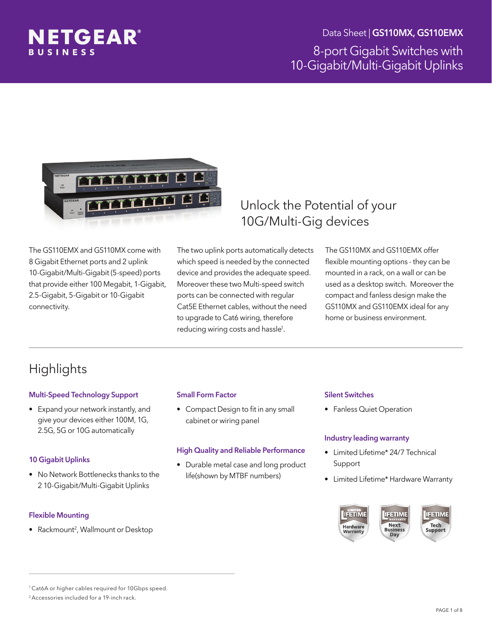

Data Sheet | GS110MX, GS110EMX

8-port Gigabit Switches with 10-Gigabit/Multi-Gigabit Uplinks



The GS110EMX and GS110MX come with 8 Gigabit Ethernet ports and 2 uplink 10-Gigabit/Multi-Gigabit (5-speed) ports that provide either 100 Megabit, 1-Gigabit, 2.5-Gigabit, 5-Gigabit or 10-Gigabit connectivity.

The two uplink ports automatically detects which speed is needed by the connected device and provides the adequate speed. Moreover these two Multi-speed switch ports can be connected with regular Cat5E Ethernet cables, without the need to upgrade to Cat6 wiring, therefore reducing wiring costs and hassle<sup>1</sup>.

### Unlock the Potential of your 10G/Multi-Gig devices

The GS110MX and GS110EMX offer flexible mounting options - they can be mounted in a rack, on a wall or can be used as a desktop switch. Moreover the compact and fanless design make the GS110MX and GS110EMX ideal for any home or business environment.

# **Highlights**

#### Multi-Speed Technology Support

• Expand your network instantly, and give your devices either 100M, 1G, 2.5G, 5G or 10G automatically

#### 10 Gigabit Uplinks

• No Network Bottlenecks thanks to the 2 10-Gigabit/Multi-Gigabit Uplinks

#### Flexible Mounting

• Rackmount<sup>2</sup>, Wallmount or Desktop

#### Small Form Factor

• Compact Design to fit in any small cabinet or wiring panel

#### High Quality and Reliable Performance

• Durable metal case and long product life(shown by MTBF numbers)

#### Silent Switches

• Fanless Quiet Operation

#### Industry leading warranty

- Limited Lifetime\* 24/7 Technical Support
- Limited Lifetime\* Hardware Warranty



<sup>1</sup> Cat6A or higher cables required for 10Gbps speed.

<sup>2</sup> Accessories included for a 19-inch rack.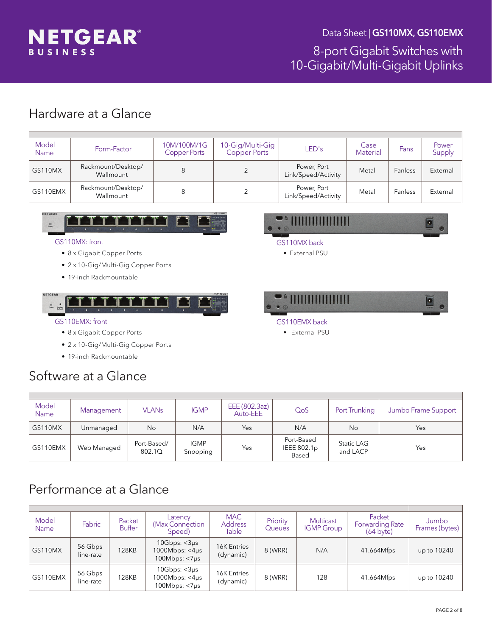

### Hardware at a Glance

| Model<br><b>Name</b> | Form-Factor                     | 10M/100M/1G<br><b>Copper Ports</b> | 10-Gig/Multi-Gig<br><b>Copper Ports</b> | LED's                              | Case<br><b>Material</b> | Fans    | Power<br>Supply |
|----------------------|---------------------------------|------------------------------------|-----------------------------------------|------------------------------------|-------------------------|---------|-----------------|
| <b>GS110MX</b>       | Rackmount/Desktop/<br>Wallmount |                                    |                                         | Power, Port<br>Link/Speed/Activity | Metal                   | Fanless | External        |
| GS110EMX             | Rackmount/Desktop/<br>Wallmount |                                    |                                         | Power, Port<br>Link/Speed/Activity | Metal                   | Fanless | External        |



#### GS110MX: front

- • 8 x Gigabit Copper Ports
- 2 x 10-Gig/Multi-Gig Copper Ports
- • 19-inch Rackmountable



# **HIIIIIIIIIIIIII**

- GS110MX back
	- External PSU



• External PSU

### GS110EMX: front

- 8 x Gigabit Copper Ports
- 2 x 10-Gig/Multi-Gig Copper Ports
- 19-inch Rackmountable

# Software at a Glance

| Model<br><b>Name</b> | Management  | <b>VLANs</b>          | <b>IGMP</b>             | EEE (802.3az)<br>Auto-EEE | QoS                                | Port Trunking          | Jumbo Frame Support |
|----------------------|-------------|-----------------------|-------------------------|---------------------------|------------------------------------|------------------------|---------------------|
| GS110MX              | Unmanaged   | No                    | N/A                     | Yes                       | N/A                                | No                     | Yes                 |
| GS110EMX             | Web Managed | Port-Based/<br>802.1Q | <b>IGMP</b><br>Snooping | Yes                       | Port-Based<br>IEEE 802.1p<br>Based | Static LAG<br>and LACP | Yes                 |

# Performance at a Glance

| Model<br>Name  | Fabric               | Packet<br><b>Buffer</b> | Latency<br>(Max Connection)<br>Speed)                                 | <b>MAC</b><br><b>Address</b><br>Table | Priority<br>Queues | Multicast<br><b>IGMP Group</b> | Packet<br>Forwarding Rate<br>$(64 \text{ byte})$ | Jumbo<br>Frames (bytes) |
|----------------|----------------------|-------------------------|-----------------------------------------------------------------------|---------------------------------------|--------------------|--------------------------------|--------------------------------------------------|-------------------------|
| <b>GS110MX</b> | 56 Gbps<br>line-rate | 128KB                   | 10Gbps: $<$ 3 $\mu$ s<br>$1000Mbps: < 4\mu s$<br>100 $Mbps: < 7\mu s$ | <b>16K Entries</b><br>(dynamic)       | 8 (WRR)            | N/A                            | 41.664Mfps                                       | up to 10240             |
| GS110EMX       | 56 Gbps<br>line-rate | 128KB                   | 10Gbps: $<$ 3 $\mu$ s<br>1000 $Mbps: <4\mu s$<br>$100Mbps: <7\mu s$   | <b>16K Entries</b><br>(dynamic)       | 8 (WRR)            | 128                            | 41.664Mfps                                       | up to 10240             |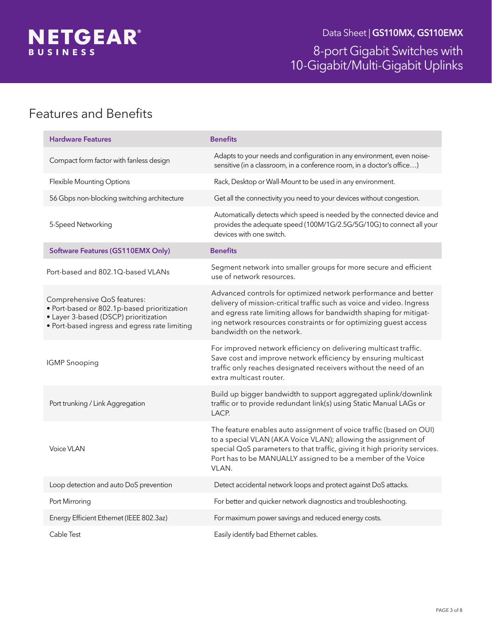

# Features and Benefits

| <b>Hardware Features</b>                                                                                                                                             | <b>Benefits</b>                                                                                                                                                                                                                                                                                                |
|----------------------------------------------------------------------------------------------------------------------------------------------------------------------|----------------------------------------------------------------------------------------------------------------------------------------------------------------------------------------------------------------------------------------------------------------------------------------------------------------|
| Compact form factor with fanless design                                                                                                                              | Adapts to your needs and configuration in any environment, even noise-<br>sensitive (in a classroom, in a conference room, in a doctor's office)                                                                                                                                                               |
| Flexible Mounting Options                                                                                                                                            | Rack, Desktop or Wall-Mount to be used in any environment.                                                                                                                                                                                                                                                     |
| 56 Gbps non-blocking switching architecture                                                                                                                          | Get all the connectivity you need to your devices without congestion.                                                                                                                                                                                                                                          |
| 5-Speed Networking                                                                                                                                                   | Automatically detects which speed is needed by the connected device and<br>provides the adequate speed (100M/1G/2.5G/5G/10G) to connect all your<br>devices with one switch.                                                                                                                                   |
| <b>Software Features (GS110EMX Only)</b>                                                                                                                             | <b>Benefits</b>                                                                                                                                                                                                                                                                                                |
| Port-based and 802.1Q-based VLANs                                                                                                                                    | Segment network into smaller groups for more secure and efficient<br>use of network resources.                                                                                                                                                                                                                 |
| Comprehensive QoS features:<br>· Port-based or 802.1p-based prioritization<br>• Layer 3-based (DSCP) prioritization<br>· Port-based ingress and egress rate limiting | Advanced controls for optimized network performance and better<br>delivery of mission-critical traffic such as voice and video. Ingress<br>and egress rate limiting allows for bandwidth shaping for mitigat-<br>ing network resources constraints or for optimizing guest access<br>bandwidth on the network. |
| <b>IGMP</b> Snooping                                                                                                                                                 | For improved network efficiency on delivering multicast traffic.<br>Save cost and improve network efficiency by ensuring multicast<br>traffic only reaches designated receivers without the need of an<br>extra multicast router.                                                                              |
| Port trunking / Link Aggregation                                                                                                                                     | Build up bigger bandwidth to support aggregated uplink/downlink<br>traffic or to provide redundant link(s) using Static Manual LAGs or<br>LACP.                                                                                                                                                                |
| <b>Voice VLAN</b>                                                                                                                                                    | The feature enables auto assignment of voice traffic (based on OUI)<br>to a special VLAN (AKA Voice VLAN); allowing the assignment of<br>special QoS parameters to that traffic, giving it high priority services.<br>Port has to be MANUALLY assigned to be a member of the Voice<br>VLAN.                    |
| Loop detection and auto DoS prevention                                                                                                                               | Detect accidental network loops and protect against DoS attacks.                                                                                                                                                                                                                                               |
| Port Mirroring                                                                                                                                                       | For better and quicker network diagnostics and troubleshooting.                                                                                                                                                                                                                                                |
| Energy Efficient Ethernet (IEEE 802.3az)                                                                                                                             | For maximum power savings and reduced energy costs.                                                                                                                                                                                                                                                            |
| Cable Test                                                                                                                                                           | Easily identify bad Ethernet cables.                                                                                                                                                                                                                                                                           |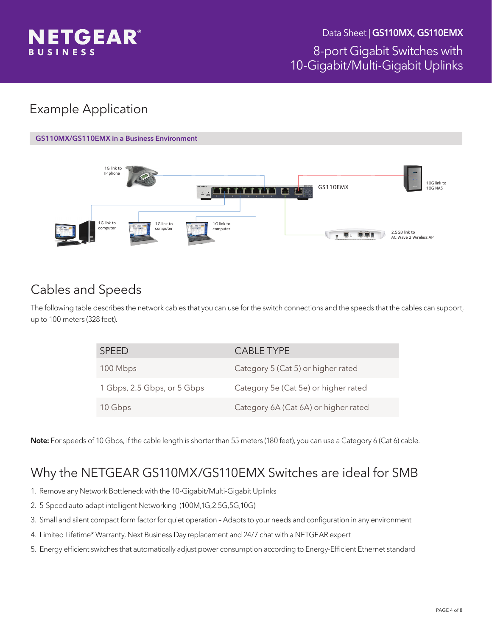

# Example Application



# Cables and Speeds

The following table describes the network cables that you can use for the switch connections and the speeds that the cables can support, up to 100 meters (328 feet).

| <b>SPEED</b>                | CABLE TYPE                           |
|-----------------------------|--------------------------------------|
| 100 Mbps                    | Category 5 (Cat 5) or higher rated   |
| 1 Gbps, 2.5 Gbps, or 5 Gbps | Category 5e (Cat 5e) or higher rated |
| 10 Gbps                     | Category 6A (Cat 6A) or higher rated |

Note: For speeds of 10 Gbps, if the cable length is shorter than 55 meters (180 feet), you can use a Category 6 (Cat 6) cable.

# Why the NETGEAR GS110MX/GS110EMX Switches are ideal for SMB

- 1. Remove any Network Bottleneck with the 10-Gigabit/Multi-Gigabit Uplinks
- 2. 5-Speed auto-adapt intelligent Networking (100M,1G,2.5G,5G,10G)
- 3. Small and silent compact form factor for quiet operation Adapts to your needs and configuration in any environment
- 4. Limited Lifetime\* Warranty, Next Business Day replacement and 24/7 chat with a NETGEAR expert
- 5. Energy efficient switches that automatically adjust power consumption according to Energy-Efficient Ethernet standard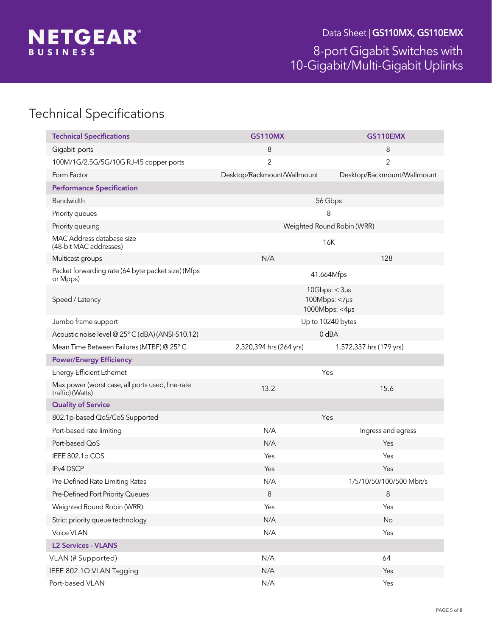

# Technical Specifications

| <b>Technical Specifications</b>                                      | <b>GS110MX</b>              | GS110EMX                                              |  |  |  |
|----------------------------------------------------------------------|-----------------------------|-------------------------------------------------------|--|--|--|
| Gigabit ports                                                        | 8                           | 8                                                     |  |  |  |
| 100M/1G/2.5G/5G/10G RJ-45 copper ports                               | $\overline{2}$              | $\overline{2}$                                        |  |  |  |
| Form Factor                                                          | Desktop/Rackmount/Wallmount | Desktop/Rackmount/Wallmount                           |  |  |  |
| <b>Performance Specification</b>                                     |                             |                                                       |  |  |  |
| Bandwidth                                                            |                             | 56 Gbps                                               |  |  |  |
| Priority queues                                                      |                             | 8                                                     |  |  |  |
| Priority queuing                                                     |                             | Weighted Round Robin (WRR)                            |  |  |  |
| MAC Address database size<br>(48-bit MAC addresses)                  |                             | 16K                                                   |  |  |  |
| Multicast groups                                                     | N/A                         | 128                                                   |  |  |  |
| Packet forwarding rate (64 byte packet size) (Mfps<br>or Mpps)       |                             | 41.664Mfps                                            |  |  |  |
| Speed / Latency                                                      |                             | $10Gbps: < 3\mu s$<br>100Mbps: <7µs<br>1000Mbps: <4µs |  |  |  |
| Jumbo frame support                                                  | Up to 10240 bytes           |                                                       |  |  |  |
| Acoustic noise level @ 25° C (dBA) (ANSI-S10.12)                     |                             | $0$ dBA                                               |  |  |  |
| Mean Time Between Failures (MTBF) @ 25° C                            | 2,320,394 hrs (264 yrs)     | 1,572,337 hrs (179 yrs)                               |  |  |  |
| <b>Power/Energy Efficiency</b>                                       |                             |                                                       |  |  |  |
| Energy-Efficient Ethernet                                            |                             | Yes                                                   |  |  |  |
| Max power (worst case, all ports used, line-rate<br>traffic) (Watts) | 13.2                        | 15.6                                                  |  |  |  |
| <b>Quality of Service</b>                                            |                             |                                                       |  |  |  |
| 802.1p-based QoS/CoS Supported                                       |                             | Yes                                                   |  |  |  |
| Port-based rate limiting                                             | N/A                         | Ingress and egress                                    |  |  |  |
| Port-based QoS                                                       | N/A                         | Yes                                                   |  |  |  |
| IEEE 802.1p COS                                                      | Yes                         | Yes                                                   |  |  |  |
| <b>IPv4 DSCP</b>                                                     | Yes                         | Yes                                                   |  |  |  |
| Pre-Defined Rate Limiting Rates                                      | N/A                         | 1/5/10/50/100/500 Mbit/s                              |  |  |  |
| Pre-Defined Port Priority Queues                                     | $\,8\,$                     | $\,8\,$                                               |  |  |  |
| Weighted Round Robin (WRR)                                           | Yes                         | Yes                                                   |  |  |  |
| Strict priority queue technology                                     | N/A                         | No                                                    |  |  |  |
| Voice VLAN                                                           | N/A                         | Yes                                                   |  |  |  |
| <b>L2 Services - VLANS</b>                                           |                             |                                                       |  |  |  |
| VLAN (# Supported)                                                   | N/A                         | 64                                                    |  |  |  |
| IEEE 802.1Q VLAN Tagging                                             | N/A                         | Yes                                                   |  |  |  |
| Port-based VLAN                                                      | N/A                         | Yes                                                   |  |  |  |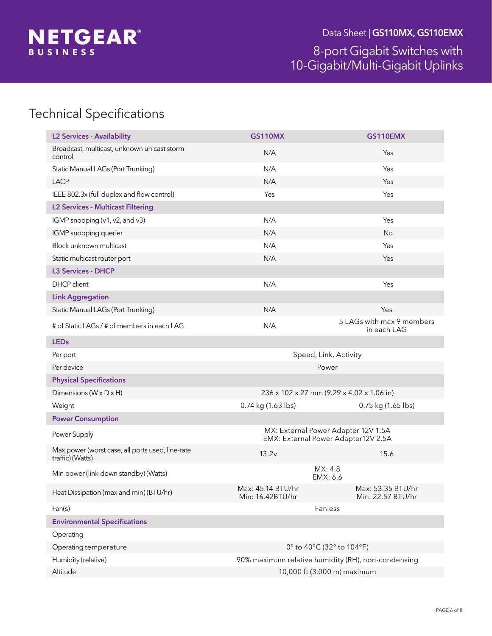

# Technical Specifications

| <b>L2 Services - Availability</b>                                    | <b>GS110MX</b>                                     | GS110EMX                                                                   |  |  |
|----------------------------------------------------------------------|----------------------------------------------------|----------------------------------------------------------------------------|--|--|
| Broadcast, multicast, unknown unicast storm<br>control               | N/A                                                | Yes                                                                        |  |  |
| Static Manual LAGs (Port Trunking)                                   | N/A                                                | Yes                                                                        |  |  |
| <b>LACP</b>                                                          | N/A                                                | Yes                                                                        |  |  |
| IEEE 802.3x (full duplex and flow control)                           | Yes                                                | Yes                                                                        |  |  |
| <b>L2 Services - Multicast Filtering</b>                             |                                                    |                                                                            |  |  |
| IGMP snooping (v1, v2, and v3)                                       | N/A                                                | Yes                                                                        |  |  |
| IGMP snooping querier                                                | N/A                                                | No                                                                         |  |  |
| Block unknown multicast                                              | N/A                                                | Yes                                                                        |  |  |
| Static multicast router port                                         | N/A                                                | Yes                                                                        |  |  |
| <b>L3 Services - DHCP</b>                                            |                                                    |                                                                            |  |  |
| <b>DHCP</b> client                                                   | N/A                                                | Yes                                                                        |  |  |
| <b>Link Aggregation</b>                                              |                                                    |                                                                            |  |  |
| Static Manual LAGs (Port Trunking)                                   | N/A                                                | Yes                                                                        |  |  |
| # of Static LAGs / # of members in each LAG                          | N/A                                                | 5 LAGs with max 9 members<br>in each LAG                                   |  |  |
| <b>LEDs</b>                                                          |                                                    |                                                                            |  |  |
| Per port                                                             |                                                    | Speed, Link, Activity                                                      |  |  |
| Per device                                                           |                                                    | Power                                                                      |  |  |
| <b>Physical Specifications</b>                                       |                                                    |                                                                            |  |  |
| Dimensions (W x D x H)                                               |                                                    | 236 x 102 x 27 mm (9.29 x 4.02 x 1.06 in)                                  |  |  |
| Weight                                                               | 0.74 kg (1.63 lbs)                                 | 0.75 kg (1.65 lbs)                                                         |  |  |
| <b>Power Consumption</b>                                             |                                                    |                                                                            |  |  |
| Power Supply                                                         |                                                    | MX: External Power Adapter 12V 1.5A<br>EMX: External Power Adapter12V 2.5A |  |  |
| Max power (worst case, all ports used, line-rate<br>traffic) (Watts) | 13.2v<br>15.6                                      |                                                                            |  |  |
| Min power (link-down standby) (Watts)                                |                                                    | MX: 4.8<br>EMX: 6.6                                                        |  |  |
| Heat Dissipation (max and min) (BTU/hr)                              | Max: 45.14 BTU/hr<br>Min: 16.42BTU/hr              | Max: 53.35 BTU/hr<br>Min: 22.57 BTU/hr                                     |  |  |
| Fan(s)                                                               |                                                    | Fanless                                                                    |  |  |
| <b>Environmental Specifications</b>                                  |                                                    |                                                                            |  |  |
| Operating                                                            |                                                    |                                                                            |  |  |
| Operating temperature                                                | 0° to 40°C (32° to 104°F)                          |                                                                            |  |  |
| Humidity (relative)                                                  | 90% maximum relative humidity (RH), non-condensing |                                                                            |  |  |
| Altitude                                                             | 10,000 ft (3,000 m) maximum                        |                                                                            |  |  |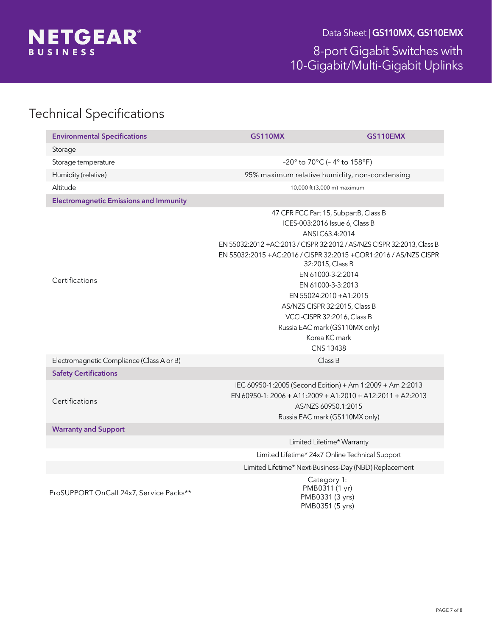

Data Sheet | GS110MX, GS110EMX

### 8-port Gigabit Switches with 10-Gigabit/Multi-Gigabit Uplinks

# Technical Specifications

| <b>Environmental Specifications</b>           | <b>GS110MX</b> | <b>GS110EMX</b>                                                                                                                                                                                                                                                                                                                                                                                                                                                           |  |  |
|-----------------------------------------------|----------------|---------------------------------------------------------------------------------------------------------------------------------------------------------------------------------------------------------------------------------------------------------------------------------------------------------------------------------------------------------------------------------------------------------------------------------------------------------------------------|--|--|
| Storage                                       |                |                                                                                                                                                                                                                                                                                                                                                                                                                                                                           |  |  |
| Storage temperature                           |                | -20 $^{\circ}$ to 70 $^{\circ}$ C (-4 $^{\circ}$ to 158 $^{\circ}$ F)                                                                                                                                                                                                                                                                                                                                                                                                     |  |  |
| Humidity (relative)                           |                | 95% maximum relative humidity, non-condensing                                                                                                                                                                                                                                                                                                                                                                                                                             |  |  |
| Altitude                                      |                | 10,000 ft (3,000 m) maximum                                                                                                                                                                                                                                                                                                                                                                                                                                               |  |  |
| <b>Electromagnetic Emissions and Immunity</b> |                |                                                                                                                                                                                                                                                                                                                                                                                                                                                                           |  |  |
| Certifications                                |                | 47 CFR FCC Part 15, SubpartB, Class B<br>ICES-003:2016 Issue 6, Class B<br>ANSI C63.4:2014<br>EN 55032:2012 + AC:2013 / CISPR 32:2012 / AS/NZS CISPR 32:2013, Class B<br>EN 55032:2015 +AC:2016 / CISPR 32:2015 +COR1:2016 / AS/NZS CISPR<br>32:2015, Class B<br>EN 61000-3-2:2014<br>EN 61000-3-3:2013<br>EN 55024:2010 + A1:2015<br>AS/NZS CISPR 32:2015, Class B<br>VCCI-CISPR 32:2016, Class B<br>Russia EAC mark (GS110MX only)<br>Korea KC mark<br><b>CNS 13438</b> |  |  |
| Electromagnetic Compliance (Class A or B)     | Class B        |                                                                                                                                                                                                                                                                                                                                                                                                                                                                           |  |  |
| <b>Safety Certifications</b>                  |                |                                                                                                                                                                                                                                                                                                                                                                                                                                                                           |  |  |
| Certifications                                |                | IEC 60950-1:2005 (Second Edition) + Am 1:2009 + Am 2:2013<br>EN 60950-1: 2006 + A11:2009 + A1:2010 + A12:2011 + A2:2013<br>AS/NZS 60950.1:2015<br>Russia EAC mark (GS110MX only)                                                                                                                                                                                                                                                                                          |  |  |
| <b>Warranty and Support</b>                   |                |                                                                                                                                                                                                                                                                                                                                                                                                                                                                           |  |  |
|                                               |                | Limited Lifetime* Warranty                                                                                                                                                                                                                                                                                                                                                                                                                                                |  |  |
|                                               |                | Limited Lifetime* 24x7 Online Technical Support                                                                                                                                                                                                                                                                                                                                                                                                                           |  |  |
|                                               |                | Limited Lifetime* Next-Business-Day (NBD) Replacement                                                                                                                                                                                                                                                                                                                                                                                                                     |  |  |
| ProSUPPORT OnCall 24x7, Service Packs**       |                | Category 1:<br>PMB0311 (1 yr)<br>PMB0331 (3 yrs)<br>PMB0351 (5 yrs)                                                                                                                                                                                                                                                                                                                                                                                                       |  |  |